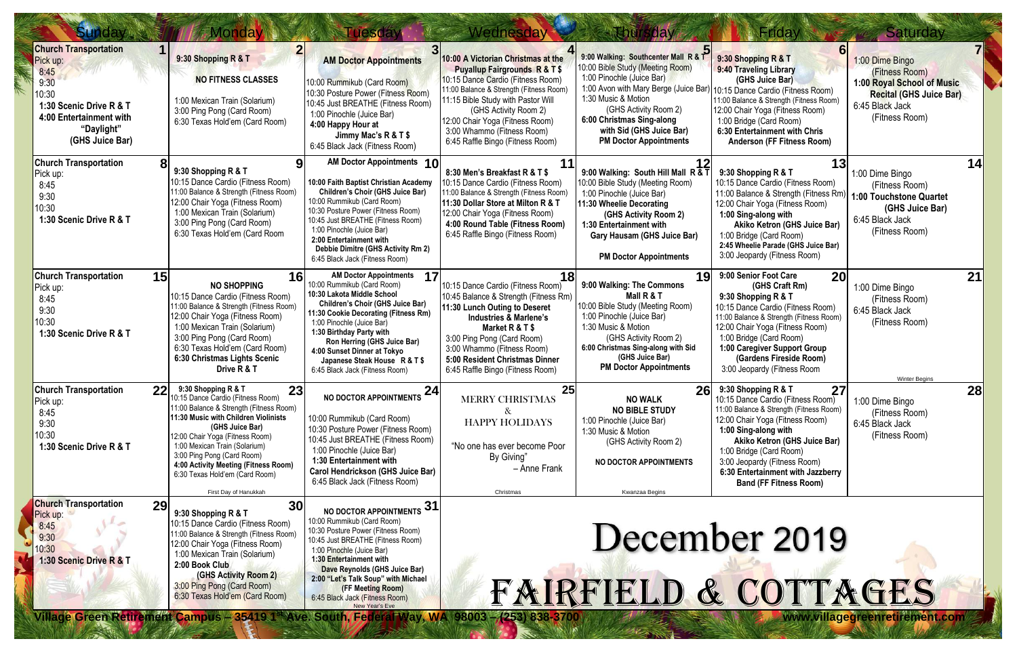| <b>Sunday</b>                                                                                                                                            |           | <b>Monday</b>                                                                                                                                                                                                                                                                                                                                                                                                       | <b>Tuesday</b>                                                                                                                                                                                                                                                                                                                                                        | Wednesday                                                                                                                                                                                                                                                                                                                          | <b>Ehursday</b>                                                                                                                                                                                                                                                                          | Friday                                                                                                                                                                                                                                                                                                                                                  | Saturday                                                                                                                               |
|----------------------------------------------------------------------------------------------------------------------------------------------------------|-----------|---------------------------------------------------------------------------------------------------------------------------------------------------------------------------------------------------------------------------------------------------------------------------------------------------------------------------------------------------------------------------------------------------------------------|-----------------------------------------------------------------------------------------------------------------------------------------------------------------------------------------------------------------------------------------------------------------------------------------------------------------------------------------------------------------------|------------------------------------------------------------------------------------------------------------------------------------------------------------------------------------------------------------------------------------------------------------------------------------------------------------------------------------|------------------------------------------------------------------------------------------------------------------------------------------------------------------------------------------------------------------------------------------------------------------------------------------|---------------------------------------------------------------------------------------------------------------------------------------------------------------------------------------------------------------------------------------------------------------------------------------------------------------------------------------------------------|----------------------------------------------------------------------------------------------------------------------------------------|
| <b>Church Transportation</b><br>Pick up:<br>8:45<br>9:30<br>10:30<br>1:30 Scenic Drive R & T<br>4:00 Entertainment with<br>"Daylight"<br>(GHS Juice Bar) |           | 9:30 Shopping R & T<br><b>NO FITNESS CLASSES</b><br>1:00 Mexican Train (Solarium)<br>3:00 Ping Pong (Card Room)<br>6:30 Texas Hold'em (Card Room)                                                                                                                                                                                                                                                                   | <b>AM Doctor Appointments</b><br>10:00 Rummikub (Card Room)<br>10:30 Posture Power (Fitness Room)<br>10:45 Just BREATHE (Fitness Room)<br>1:00 Pinochle (Juice Bar)<br>4:00 Happy Hour at<br>Jimmy Mac's R & T \$<br>6:45 Black Jack (Fitness Room)                                                                                                                   | 10:00 A Victorian Christmas at the<br><b>Puyallup Fairgrounds R &amp; T \$</b><br>10:15 Dance Cardio (Fitness Room)<br>11:00 Balance & Strength (Fitness Room)<br>11:15 Bible Study with Pastor Will<br>(GHS Activity Room 2)<br>12:00 Chair Yoga (Fitness Room)<br>3:00 Whammo (Fitness Room)<br>6:45 Raffle Bingo (Fitness Room) | 9:00 Walking: Southcenter Mall R & T<br>10:00 Bible Study (Meeting Room)<br>1:00 Pinochle (Juice Bar)<br>1:00 Avon with Mary Berge (Juice Bar)<br>1:30 Music & Motion<br>(GHS Activity Room 2)<br>6:00 Christmas Sing-along<br>with Sid (GHS Juice Bar)<br><b>PM Doctor Appointments</b> | 9:30 Shopping R & T<br>9:40 Traveling Library<br>(GHS Juice Bar)<br>10:15 Dance Cardio (Fitness Room)<br>11:00 Balance & Strength (Fitness Room)<br>12:00 Chair Yoga (Fitness Room)<br>1:00 Bridge (Card Room)<br>6:30 Entertainment with Chris<br><b>Anderson (FF Fitness Room)</b>                                                                    | 1:00 Dime Bingo<br>(Fitness Room)<br>1:00 Royal School of Music<br><b>Recital (GHS Juice Bar)</b><br>6:45 Black Jack<br>(Fitness Room) |
| <b>Church Transportation</b><br>Pick up:<br>8:45<br>9:30<br>10:30<br>1:30 Scenic Drive R & T                                                             |           | 9:30 Shopping R & T<br>10:15 Dance Cardio (Fitness Room)<br>11:00 Balance & Strength (Fitness Room)<br>12:00 Chair Yoga (Fitness Room)<br>1:00 Mexican Train (Solarium)<br>3:00 Ping Pong (Card Room)<br>6:30 Texas Hold'em (Card Room                                                                                                                                                                              | AM Doctor Appointments 10<br>10:00 Faith Baptist Christian Academy<br><b>Children's Choir (GHS Juice Bar)</b><br>10:00 Rummikub (Card Room)<br>10:30 Posture Power (Fitness Room)<br>10:45 Just BREATHE (Fitness Room)<br>1:00 Pinochle (Juice Bar)<br>2:00 Entertainment with<br>Debbie Dimitre (GHS Activity Rm 2)<br>6:45 Black Jack (Fitness Room)                | 8:30 Men's Breakfast R & T \$<br>10:15 Dance Cardio (Fitness Room)<br>11:00 Balance & Strength (Fitness Room)<br>11:30 Dollar Store at Milton R & T<br>12:00 Chair Yoga (Fitness Room)<br>4:00 Round Table (Fitness Room)<br>6:45 Raffle Bingo (Fitness Room)                                                                      | 9:00 Walking: South Hill Mall R & T<br>10:00 Bible Study (Meeting Room)<br>1:00 Pinochle (Juice Bar)<br>11:30 Wheelie Decorating<br>(GHS Activity Room 2)<br>1:30 Entertainment with<br><b>Gary Hausam (GHS Juice Bar)</b><br><b>PM Doctor Appointments</b>                              | 13<br>9:30 Shopping R & T<br>10:15 Dance Cardio (Fitness Room)<br>11:00 Balance & Strength (Fitness Rm)<br>12:00 Chair Yoga (Fitness Room)<br>1:00 Sing-along with<br>Akiko Ketron (GHS Juice Bar)<br>1:00 Bridge (Card Room)<br>2:45 Wheelie Parade (GHS Juice Bar)<br>3:00 Jeopardy (Fitness Room)                                                    | 14<br>1:00 Dime Bingo<br>(Fitness Room)<br>1:00 Touchstone Quartet<br>(GHS Juice Bar)<br>6:45 Black Jack<br>(Fitness Room)             |
| <b>Church Transportation</b><br>Pick up:<br>8:45<br>9:30<br>10:30<br>1:30 Scenic Drive R & T                                                             | 15        | <b>16</b><br><b>NO SHOPPING</b><br>10:15 Dance Cardio (Fitness Room)<br>11:00 Balance & Strength (Fitness Room)<br>12:00 Chair Yoga (Fitness Room)<br>1:00 Mexican Train (Solarium)<br>3:00 Ping Pong (Card Room)<br>6:30 Texas Hold'em (Card Room)<br>6:30 Christmas Lights Scenic<br>Drive R & T                                                                                                                  | <b>AM Doctor Appointments</b><br>17<br>10:00 Rummikub (Card Room)<br>10:30 Lakota Middle School<br>Children's Choir (GHS Juice Bar)<br>11:30 Cookie Decorating (Fitness Rm)<br>1:00 Pinochle (Juice Bar)<br>1:30 Birthday Party with<br>Ron Herring (GHS Juice Bar)<br>4:00 Sunset Dinner at Tokyo<br>Japanese Steak House R & T \$<br>6:45 Black Jack (Fitness Room) | 18<br>10:15 Dance Cardio (Fitness Room)<br>10:45 Balance & Strength (Fitness Rm)<br>11:30 Lunch Outing to Deseret<br><b>Industries &amp; Marlene's</b><br>Market R & T \$<br>3:00 Ping Pong (Card Room)<br>3:00 Whammo (Fitness Room)<br>5:00 Resident Christmas Dinner<br>6:45 Raffle Bingo (Fitness Room)                        | 19<br>9:00 Walking: The Commons<br>Mall R & T<br>10:00 Bible Study (Meeting Room)<br>1:00 Pinochle (Juice Bar)<br>1:30 Music & Motion<br>(GHS Activity Room 2)<br>6:00 Christmas Sing-along with Sid<br>(GHS Juice Bar)<br><b>PM Doctor Appointments</b>                                 | 9:00 Senior Foot Care<br>20<br>(GHS Craft Rm)<br>9:30 Shopping R & T<br>10:15 Dance Cardio (Fitness Room)<br>11:00 Balance & Strength (Fitness Room)<br>12:00 Chair Yoga (Fitness Room)<br>1:00 Bridge (Card Room)<br>1:00 Caregiver Support Group<br>(Gardens Fireside Room)<br>3:00 Jeopardy (Fitness Room                                            | 21<br>1:00 Dime Bingo<br>(Fitness Room)<br>6:45 Black Jack<br>(Fitness Room)<br><b>Winter Begins</b>                                   |
| <b>Church Transportation</b><br>Pick up:<br>8:45<br>9:30<br>10:30<br>1:30 Scenic Drive R & T                                                             | <b>22</b> | 9:30 Shopping R & T<br>23<br>10:15 Dance Cardio (Fitness Room)<br>11:00 Balance & Strength (Fitness Room)<br>11:30 Music with Children Violinists<br>(GHS Juice Bar)<br>12:00 Chair Yoga (Fitness Room)<br>1:00 Mexican Train (Solarium)<br>3:00 Ping Pong (Card Room)<br>4:00 Activity Meeting (Fitness Room)<br>6:30 Texas Hold'em (Card Room)<br>First Day of Hanukkah                                           | 24<br><b>NO DOCTOR APPOINTMENTS</b><br>10:00 Rummikub (Card Room)<br>10:30 Posture Power (Fitness Room)<br>10:45 Just BREATHE (Fitness Room)<br>1:00 Pinochle (Juice Bar)<br>1:30 Entertainment with<br>Carol Hendrickson (GHS Juice Bar)<br>6:45 Black Jack (Fitness Room)                                                                                           | 25<br><b>MERRY CHRISTMAS</b><br>&<br><b>HAPPY HOLIDAYS</b><br>"No one has ever become Poor<br>By Giving"<br>- Anne Frank<br>Christmas                                                                                                                                                                                              | <b>NO WALK</b><br><b>NO BIBLE STUDY</b><br>1:00 Pinochle (Juice Bar)<br>1:30 Music & Motion<br>(GHS Activity Room 2)<br><b>NO DOCTOR APPOINTMENTS</b><br>Kwanzaa Begins                                                                                                                  | $26$ 9:30 Shopping R & T<br>27 <sub>l</sub><br>10:15 Dance Cardio (Fitness Room)<br>11:00 Balance & Strength (Fitness Room)<br>12:00 Chair Yoga (Fitness Room)<br>1:00 Sing-along with<br>Akiko Ketron (GHS Juice Bar)<br>1:00 Bridge (Card Room)<br>3:00 Jeopardy (Fitness Room)<br>6:30 Entertainment with Jazzberry<br><b>Band (FF Fitness Room)</b> | 28<br>1:00 Dime Bingo<br>(Fitness Room)<br>6:45 Black Jack<br>(Fitness Room)                                                           |
| <b>Church Transportation</b><br>Pick up:<br>8:45<br>9:30<br>10:30<br>1:30 Scenic Drive R & T                                                             | 29        | 30 <sup>l</sup><br>9:30 Shopping R & T<br>10:15 Dance Cardio (Fitness Room)<br>11:00 Balance & Strength (Fitness Room)<br>12:00 Chair Yoga (Fitness Room)<br>1:00 Mexican Train (Solarium)<br>2:00 Book Club<br>(GHS Activity Room 2)<br>3:00 Ping Pong (Card Room)<br>6:30 Texas Hold'em (Card Room)<br>Village Green Retirement Campus - 35419 1 <sup>st</sup> Ave. South, Federal Way, WA 98003 - (253) 838-3700 | 31<br><b>NO DOCTOR APPOINTMENTS</b><br>10:00 Rummikub (Card Room)<br>10:30 Posture Power (Fitness Room)<br>10:45 Just BREATHE (Fitness Room)<br>1:00 Pinochle (Juice Bar)<br>1:30 Entertainment with<br>Dave Reynolds (GHS Juice Bar)<br>2:00 "Let's Talk Soup" with Michael<br>(FF Meeting Room)<br>6:45 Black Jack (Fitness Room)<br><b>New Year's Eve</b>          |                                                                                                                                                                                                                                                                                                                                    | FAIRFIELD & COTTAGES                                                                                                                                                                                                                                                                     | December 2019                                                                                                                                                                                                                                                                                                                                           |                                                                                                                                        |
|                                                                                                                                                          |           |                                                                                                                                                                                                                                                                                                                                                                                                                     |                                                                                                                                                                                                                                                                                                                                                                       |                                                                                                                                                                                                                                                                                                                                    |                                                                                                                                                                                                                                                                                          |                                                                                                                                                                                                                                                                                                                                                         | www.villagegreenretirement.com                                                                                                         |